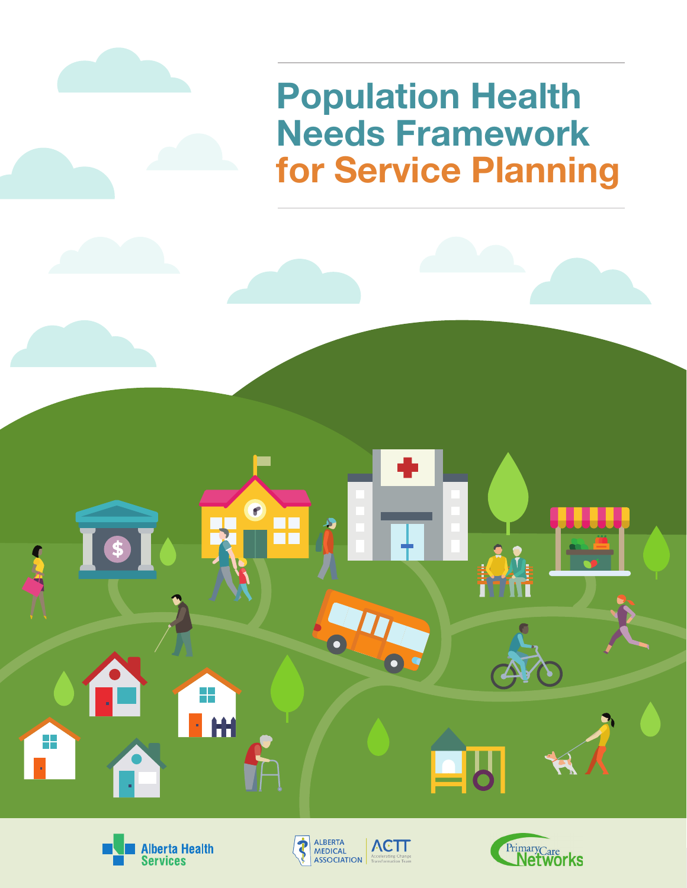







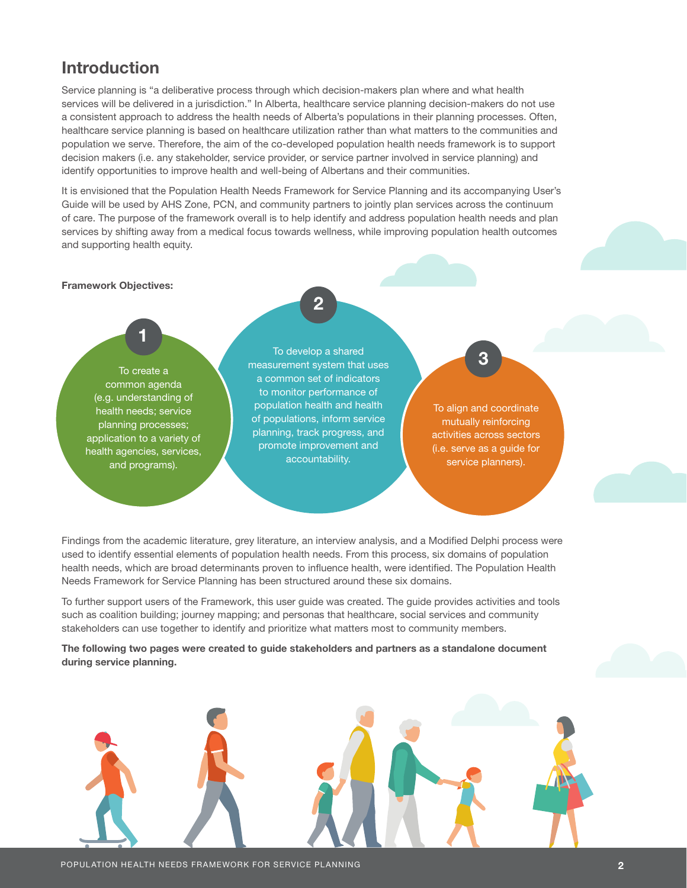## Introduction

Service planning is "a deliberative process through which decision-makers plan where and what health services will be delivered in a jurisdiction." In Alberta, healthcare service planning decision-makers do not use a consistent approach to address the health needs of Alberta's populations in their planning processes. Often, healthcare service planning is based on healthcare utilization rather than what matters to the communities and population we serve. Therefore, the aim of the co-developed population health needs framework is to support decision makers (i.e. any stakeholder, service provider, or service partner involved in service planning) and identify opportunities to improve health and well-being of Albertans and their communities.

It is envisioned that the Population Health Needs Framework for Service Planning and its accompanying User's Guide will be used by AHS Zone, PCN, and community partners to jointly plan services across the continuum of care. The purpose of the framework overall is to help identify and address population health needs and plan services by shifting away from a medical focus towards wellness, while improving population health outcomes and supporting health equity.

#### Framework Objectives:

To create a common agenda (e.g. understanding of health needs; service planning processes; application to a variety of health agencies, services, and programs).

1

To develop a shared measurement system that uses a common set of indicators to monitor performance of population health and health of populations, inform service planning, track progress, and promote improvement and accountability.

2

3

To align and coordinate mutually reinforcing activities across sectors (i.e. serve as a guide for service planners).

Findings from the academic literature, grey literature, an interview analysis, and a Modified Delphi process were used to identify essential elements of population health needs. From this process, six domains of population health needs, which are broad determinants proven to influence health, were identified. The Population Health Needs Framework for Service Planning has been structured around these six domains.

To further support users of the Framework, this user guide was created. The guide provides activities and tools such as coalition building; journey mapping; and personas that healthcare, social services and community stakeholders can use together to identify and prioritize what matters most to community members.

The following two pages were created to guide stakeholders and partners as a standalone document during service planning.

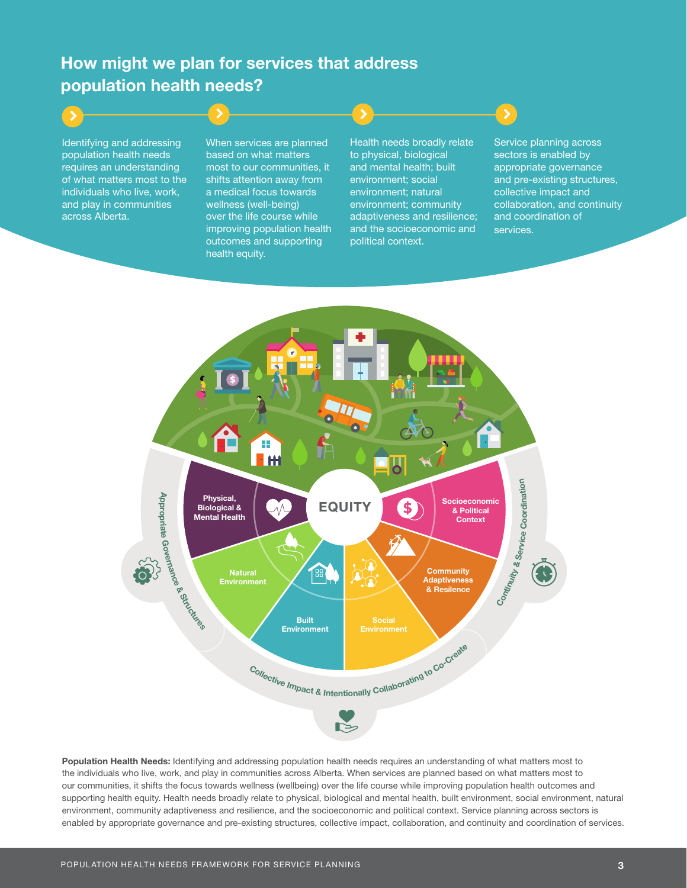# How might we plan for services that address population health needs?

Identifying and addressing population health needs requires an understanding of what matters most to the individuals who live, work, and play in communities across Alberta.

When services are planned based on what matters most to our communities, it shifts attention away from a medical focus towards wellness (well-being) over the life course while improving population health outcomes and supporting health equity.

Health needs broadly relate to physical, biological and mental health; built environment; social environment; natural environment; community adaptiveness and resilience; and the socioeconomic and political context.

Service planning across sectors is enabled by appropriate governance and pre-existing structures, collective impact and collaboration, and continuity and coordination of services.



Population Health Needs: Identifying and addressing population health needs requires an understanding of what matters most to the individuals who live, work, and play in communities across Alberta. When services are planned based on what matters most to our communities, it shifts the focus towards wellness (wellbeing) over the life course while improving population health outcomes and supporting health equity. Health needs broadly relate to physical, biological and mental health, built environment, social environment, natural environment, community adaptiveness and resilience, and the socioeconomic and political context. Service planning across sectors is enabled by appropriate governance and pre-existing structures, collective impact, collaboration, and continuity and coordination of services.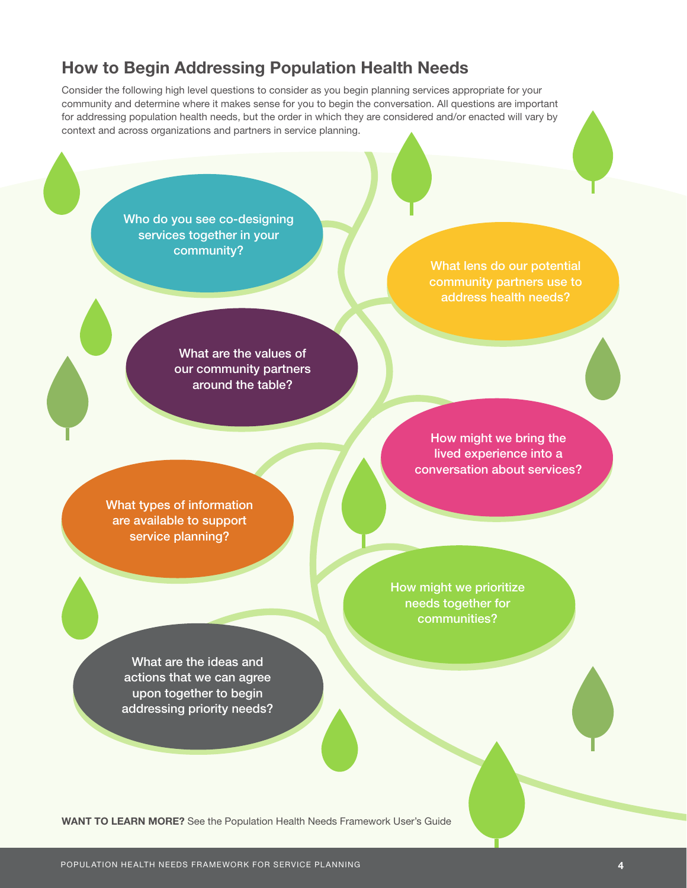## How to Begin Addressing Population Health Needs

Consider the following high level questions to consider as you begin planning services appropriate for your community and determine where it makes sense for you to begin the conversation. All questions are important for addressing population health needs, but the order in which they are considered and/or enacted will vary by context and across organizations and partners in service planning.

> Who do you see co-designing services together in your community?

> > What lens do our potential address health needs?

What are the values of our community partners around the table?

> How might we bring the lived experience into a conversation about services?

What types of information are available to support service planning?

> How might we prioritize needs together for communities?

What are the ideas and actions that we can agree upon together to begin addressing priority needs?

WANT TO LEARN MORE? See the Population Health Needs Framework User's Guide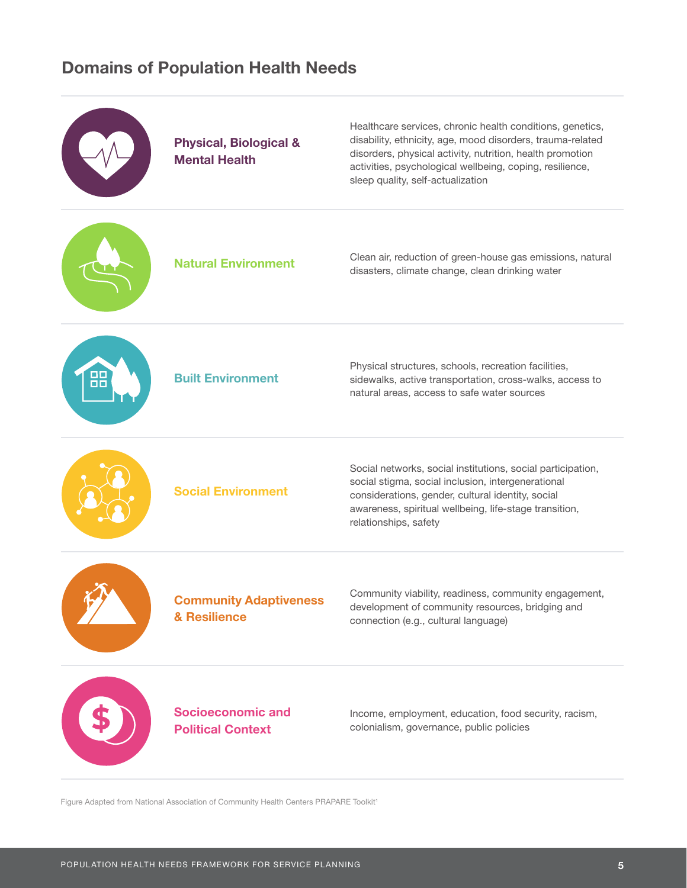## Domains of Population Health Needs



Figure Adapted from National Association of Community Health Centers PRAPARE Toolkit<sup>1</sup>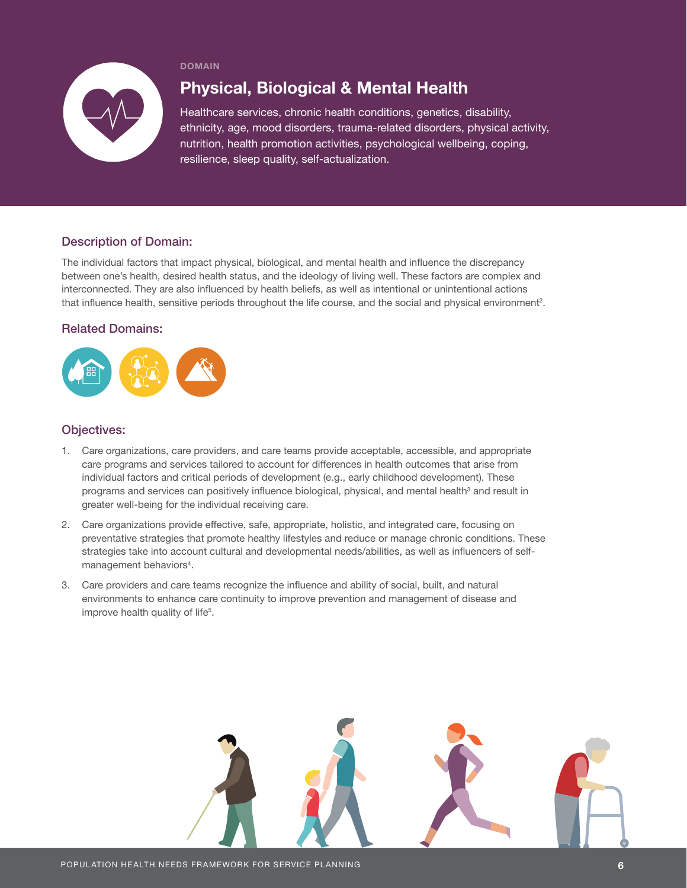

## Physical, Biological & Mental Health

Healthcare services, chronic health conditions, genetics, disability, ethnicity, age, mood disorders, trauma-related disorders, physical activity, nutrition, health promotion activities, psychological wellbeing, coping, resilience, sleep quality, self-actualization.

## Description of Domain:

The individual factors that impact physical, biological, and mental health and influence the discrepancy between one's health, desired health status, and the ideology of living well. These factors are complex and interconnected. They are also influenced by health beliefs, as well as intentional or unintentional actions that influence health, sensitive periods throughout the life course, and the social and physical environment<sup>2</sup>.

### Related Domains:



- 1. Care organizations, care providers, and care teams provide acceptable, accessible, and appropriate care programs and services tailored to account for differences in health outcomes that arise from individual factors and critical periods of development (e.g., early childhood development). These programs and services can positively influence biological, physical, and mental health<sup>3</sup> and result in greater well-being for the individual receiving care.
- 2. Care organizations provide effective, safe, appropriate, holistic, and integrated care, focusing on preventative strategies that promote healthy lifestyles and reduce or manage chronic conditions. These strategies take into account cultural and developmental needs/abilities, as well as influencers of selfmanagement behaviors<sup>4</sup>.
- 3. Care providers and care teams recognize the influence and ability of social, built, and natural environments to enhance care continuity to improve prevention and management of disease and improve health quality of life<sup>5</sup>.

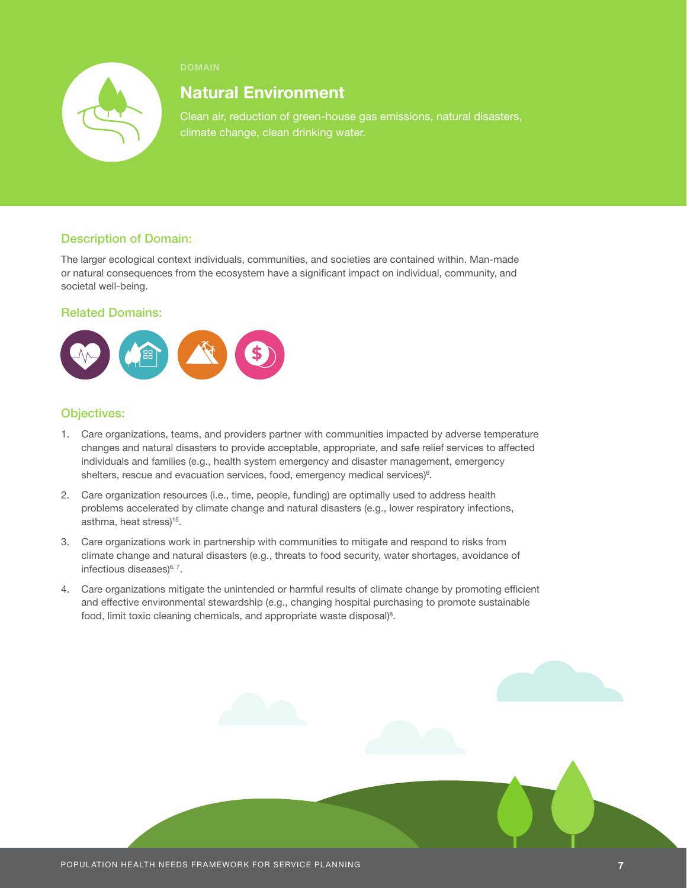

## Natural Environment

Clean air, reduction of green-house gas emissions, natural disasters, climate change, clean drinking water.

## Description of Domain:

The larger ecological context individuals, communities, and societies are contained within. Man-made or natural consequences from the ecosystem have a significant impact on individual, community, and societal well-being.

### Related Domains:



- 1. Care organizations, teams, and providers partner with communities impacted by adverse temperature changes and natural disasters to provide acceptable, appropriate, and safe relief services to affected individuals and families (e.g., health system emergency and disaster management, emergency shelters, rescue and evacuation services, food, emergency medical services)<sup>6</sup>.
- 2. Care organization resources (i.e., time, people, funding) are optimally used to address health problems accelerated by climate change and natural disasters (e.g., lower respiratory infections, asthma, heat stress)<sup>15</sup>.
- 3. Care organizations work in partnership with communities to mitigate and respond to risks from climate change and natural disasters (e.g., threats to food security, water shortages, avoidance of infectious diseases)<sup>6, 7</sup>.
- 4. Care organizations mitigate the unintended or harmful results of climate change by promoting efficient and effective environmental stewardship (e.g., changing hospital purchasing to promote sustainable food, limit toxic cleaning chemicals, and appropriate waste disposal)<sup>8</sup>.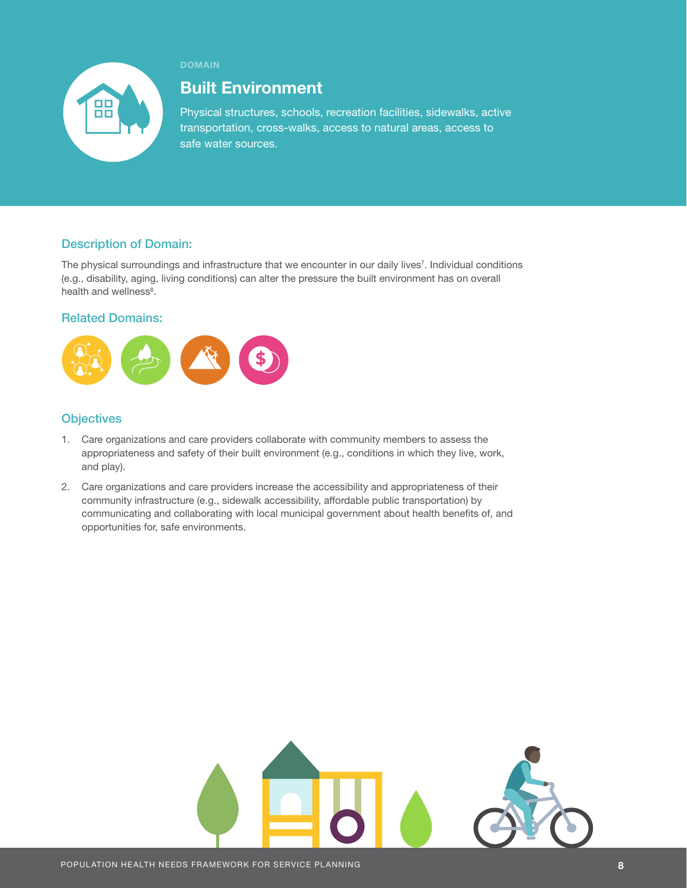

## Built Environment

Physical structures, schools, recreation facilities, sidewalks, active transportation, cross-walks, access to natural areas, access to safe water sources.

## Description of Domain:

The physical surroundings and infrastructure that we encounter in our daily lives<sup>7</sup>. Individual conditions (e.g., disability, aging, living conditions) can alter the pressure the built environment has on overall health and wellness<sup>8</sup>.

## Related Domains:



- 1. Care organizations and care providers collaborate with community members to assess the appropriateness and safety of their built environment (e.g., conditions in which they live, work, and play).
- 2. Care organizations and care providers increase the accessibility and appropriateness of their community infrastructure (e.g., sidewalk accessibility, affordable public transportation) by communicating and collaborating with local municipal government about health benefits of, and opportunities for, safe environments.

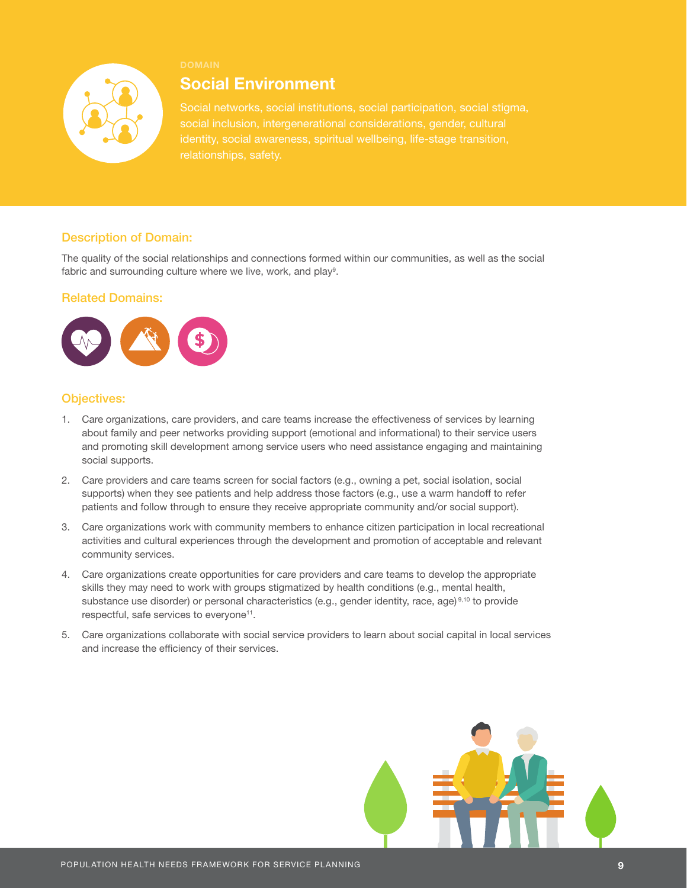

## Social Environment

Social networks, social institutions, social participation, social stigma, identity, social awareness, spiritual wellbeing, life-stage transition, relationships, safety.

## Description of Domain:

The quality of the social relationships and connections formed within our communities, as well as the social fabric and surrounding culture where we live, work, and play<sup>9</sup>.

#### Related Domains:



- 1. Care organizations, care providers, and care teams increase the effectiveness of services by learning about family and peer networks providing support (emotional and informational) to their service users and promoting skill development among service users who need assistance engaging and maintaining social supports.
- 2. Care providers and care teams screen for social factors (e.g., owning a pet, social isolation, social supports) when they see patients and help address those factors (e.g., use a warm handoff to refer patients and follow through to ensure they receive appropriate community and/or social support).
- 3. Care organizations work with community members to enhance citizen participation in local recreational activities and cultural experiences through the development and promotion of acceptable and relevant community services.
- 4. Care organizations create opportunities for care providers and care teams to develop the appropriate skills they may need to work with groups stigmatized by health conditions (e.g., mental health, substance use disorder) or personal characteristics (e.g., gender identity, race, age) 9,10 to provide respectful, safe services to everyone<sup>11</sup>.
- 5. Care organizations collaborate with social service providers to learn about social capital in local services and increase the efficiency of their services.

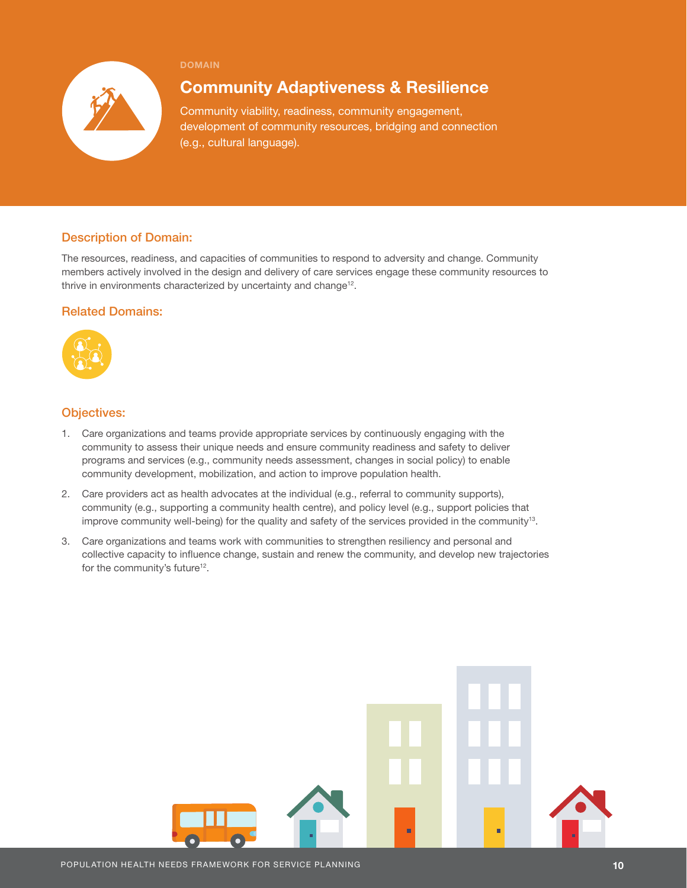

## Community Adaptiveness & Resilience

Community viability, readiness, community engagement, development of community resources, bridging and connection (e.g., cultural language).

## Description of Domain:

The resources, readiness, and capacities of communities to respond to adversity and change. Community members actively involved in the design and delivery of care services engage these community resources to thrive in environments characterized by uncertainty and change<sup>12</sup>.

## Related Domains:



- 1. Care organizations and teams provide appropriate services by continuously engaging with the community to assess their unique needs and ensure community readiness and safety to deliver programs and services (e.g., community needs assessment, changes in social policy) to enable community development, mobilization, and action to improve population health.
- 2. Care providers act as health advocates at the individual (e.g., referral to community supports), community (e.g., supporting a community health centre), and policy level (e.g., support policies that improve community well-being) for the quality and safety of the services provided in the community13.
- 3. Care organizations and teams work with communities to strengthen resiliency and personal and collective capacity to influence change, sustain and renew the community, and develop new trajectories for the community's future<sup>12</sup>.

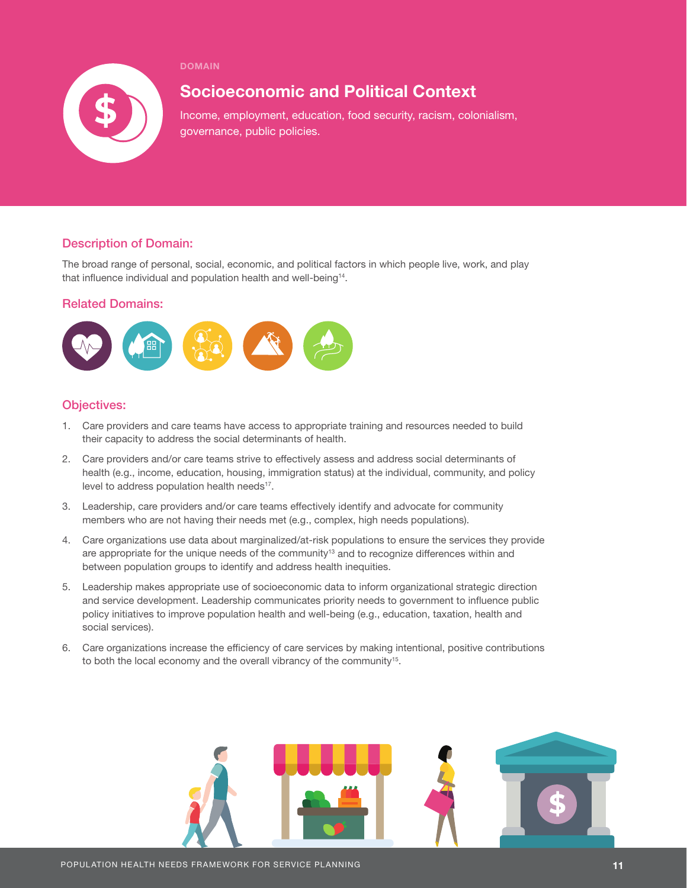

## Socioeconomic and Political Context

Income, employment, education, food security, racism, colonialism, governance, public policies.

## Description of Domain:

The broad range of personal, social, economic, and political factors in which people live, work, and play that influence individual and population health and well-being<sup>14</sup>.

### Related Domains:



- 1. Care providers and care teams have access to appropriate training and resources needed to build their capacity to address the social determinants of health.
- 2. Care providers and/or care teams strive to effectively assess and address social determinants of health (e.g., income, education, housing, immigration status) at the individual, community, and policy level to address population health needs<sup>17</sup>.
- 3. Leadership, care providers and/or care teams effectively identify and advocate for community members who are not having their needs met (e.g., complex, high needs populations).
- 4. Care organizations use data about marginalized/at-risk populations to ensure the services they provide are appropriate for the unique needs of the community<sup>13</sup> and to recognize differences within and between population groups to identify and address health inequities.
- 5. Leadership makes appropriate use of socioeconomic data to inform organizational strategic direction and service development. Leadership communicates priority needs to government to influence public policy initiatives to improve population health and well-being (e.g., education, taxation, health and social services).
- 6. Care organizations increase the efficiency of care services by making intentional, positive contributions to both the local economy and the overall vibrancy of the community<sup>15</sup>.

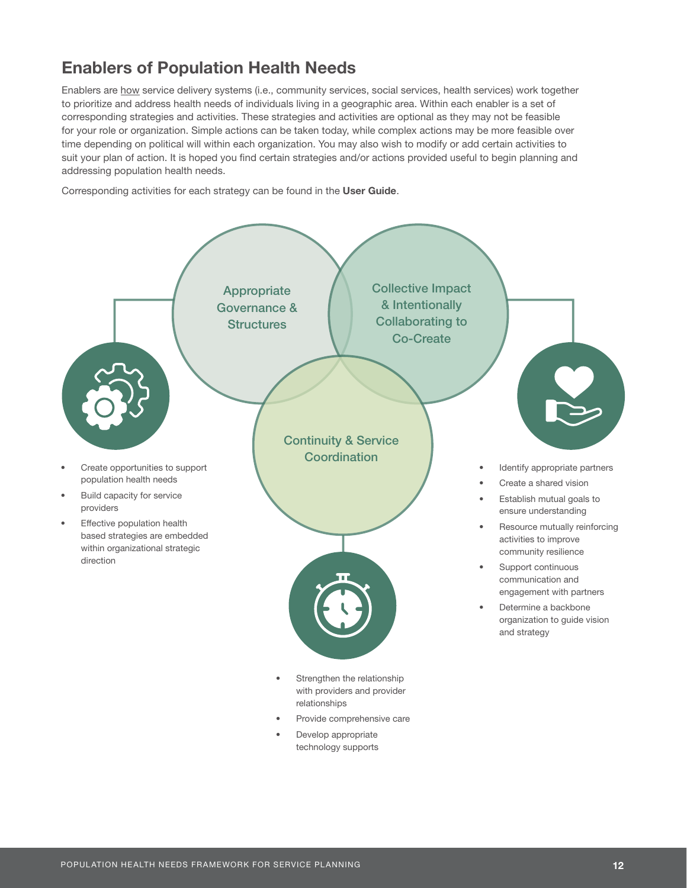# Enablers of Population Health Needs

Enablers are how service delivery systems (i.e., community services, social services, health services) work together to prioritize and address health needs of individuals living in a geographic area. Within each enabler is a set of corresponding strategies and activities. These strategies and activities are optional as they may not be feasible for your role or organization. Simple actions can be taken today, while complex actions may be more feasible over time depending on political will within each organization. You may also wish to modify or add certain activities to suit your plan of action. It is hoped you find certain strategies and/or actions provided useful to begin planning and addressing population health needs.

Corresponding activities for each strategy can be found in the User Guide.

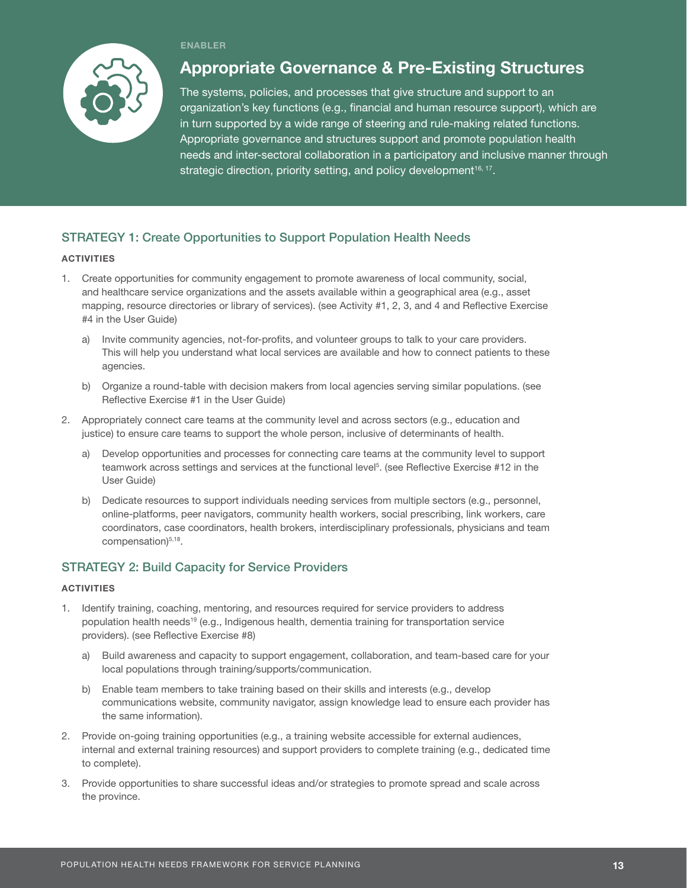#### ENABLER



## Appropriate Governance & Pre-Existing Structures

The systems, policies, and processes that give structure and support to an organization's key functions (e.g., financial and human resource support), which are in turn supported by a wide range of steering and rule-making related functions. Appropriate governance and structures support and promote population health needs and inter-sectoral collaboration in a participatory and inclusive manner through strategic direction, priority setting, and policy development<sup>16, 17</sup>.

## STRATEGY 1: Create Opportunities to Support Population Health Needs

#### **ACTIVITIES**

- 1. Create opportunities for community engagement to promote awareness of local community, social, and healthcare service organizations and the assets available within a geographical area (e.g., asset mapping, resource directories or library of services). (see Activity #1, 2, 3, and 4 and Reflective Exercise #4 in the User Guide)
	- a) Invite community agencies, not-for-profits, and volunteer groups to talk to your care providers. This will help you understand what local services are available and how to connect patients to these agencies.
	- b) Organize a round-table with decision makers from local agencies serving similar populations. (see Reflective Exercise #1 in the User Guide)
- 2. Appropriately connect care teams at the community level and across sectors (e.g., education and justice) to ensure care teams to support the whole person, inclusive of determinants of health.
	- a) Develop opportunities and processes for connecting care teams at the community level to support teamwork across settings and services at the functional level<sup>5</sup>. (see Reflective Exercise #12 in the User Guide)
	- b) Dedicate resources to support individuals needing services from multiple sectors (e.g., personnel, online-platforms, peer navigators, community health workers, social prescribing, link workers, care coordinators, case coordinators, health brokers, interdisciplinary professionals, physicians and team compensation)<sup>5,18</sup>.

## STRATEGY 2: Build Capacity for Service Providers

- 1. Identify training, coaching, mentoring, and resources required for service providers to address population health needs<sup>19</sup> (e.g., Indigenous health, dementia training for transportation service providers). (see Reflective Exercise #8)
	- a) Build awareness and capacity to support engagement, collaboration, and team-based care for your local populations through training/supports/communication.
	- b) Enable team members to take training based on their skills and interests (e.g., develop communications website, community navigator, assign knowledge lead to ensure each provider has the same information).
- 2. Provide on-going training opportunities (e.g., a training website accessible for external audiences, internal and external training resources) and support providers to complete training (e.g., dedicated time to complete).
- 3. Provide opportunities to share successful ideas and/or strategies to promote spread and scale across the province.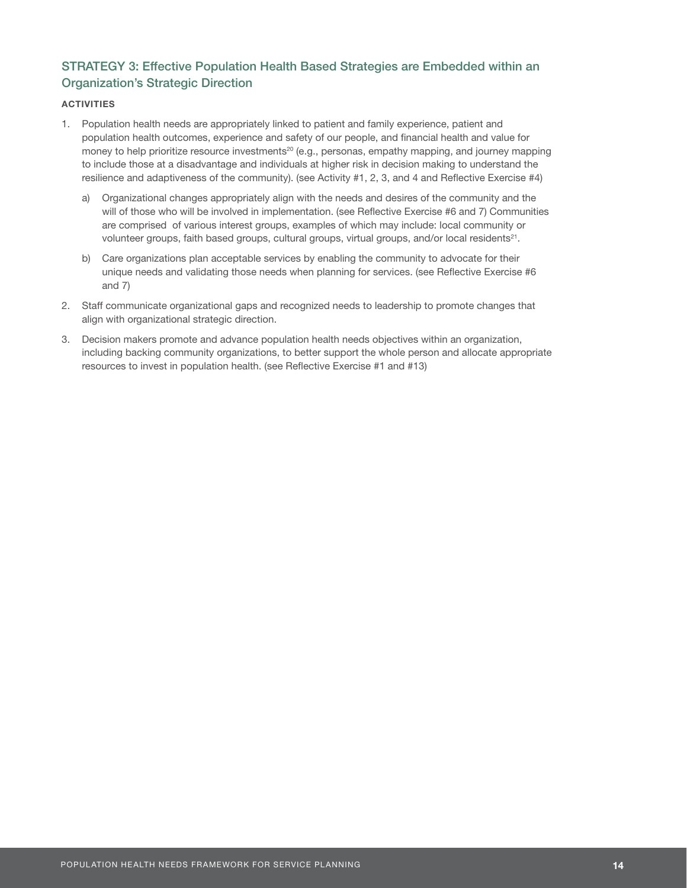## STRATEGY 3: Effective Population Health Based Strategies are Embedded within an Organization's Strategic Direction

- 1. Population health needs are appropriately linked to patient and family experience, patient and population health outcomes, experience and safety of our people, and financial health and value for money to help prioritize resource investments<sup>20</sup> (e.g., personas, empathy mapping, and journey mapping to include those at a disadvantage and individuals at higher risk in decision making to understand the resilience and adaptiveness of the community). (see Activity #1, 2, 3, and 4 and Reflective Exercise #4)
	- a) Organizational changes appropriately align with the needs and desires of the community and the will of those who will be involved in implementation. (see Reflective Exercise #6 and 7) Communities are comprised of various interest groups, examples of which may include: local community or volunteer groups, faith based groups, cultural groups, virtual groups, and/or local residents<sup>21</sup>.
	- b) Care organizations plan acceptable services by enabling the community to advocate for their unique needs and validating those needs when planning for services. (see Reflective Exercise #6 and 7)
- 2. Staff communicate organizational gaps and recognized needs to leadership to promote changes that align with organizational strategic direction.
- 3. Decision makers promote and advance population health needs objectives within an organization, including backing community organizations, to better support the whole person and allocate appropriate resources to invest in population health. (see Reflective Exercise #1 and #13)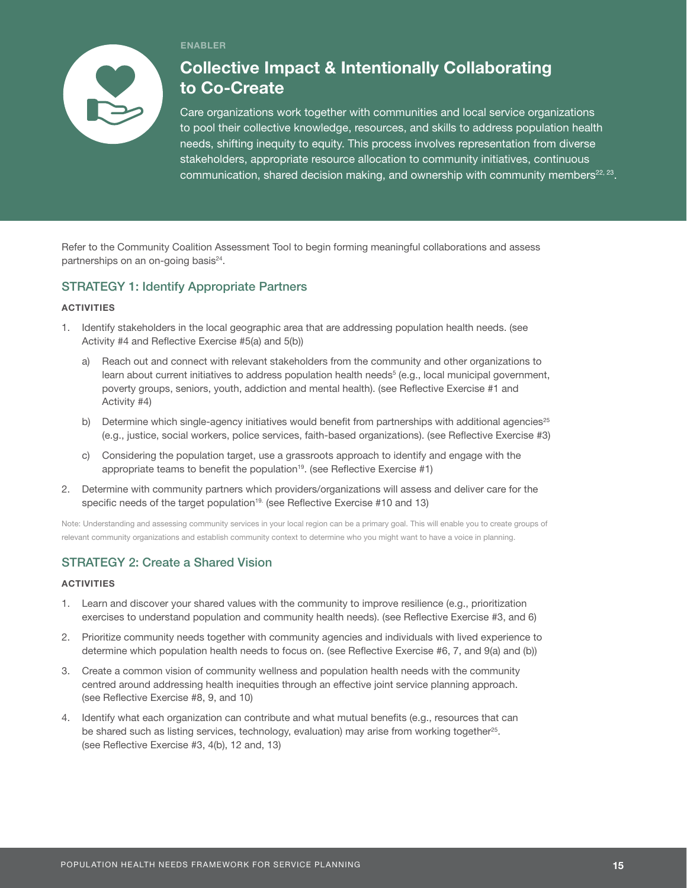

#### ENABLER

## Collective Impact & Intentionally Collaborating to Co-Create

Care organizations work together with communities and local service organizations to pool their collective knowledge, resources, and skills to address population health needs, shifting inequity to equity. This process involves representation from diverse stakeholders, appropriate resource allocation to community initiatives, continuous communication, shared decision making, and ownership with community members<sup>22, 23</sup>.

Refer to the Community Coalition Assessment Tool to begin forming meaningful collaborations and assess partnerships on an on-going basis<sup>24</sup>.

## STRATEGY 1: Identify Appropriate Partners

#### **ACTIVITIES**

- 1. Identify stakeholders in the local geographic area that are addressing population health needs. (see Activity #4 and Reflective Exercise #5(a) and 5(b))
	- a) Reach out and connect with relevant stakeholders from the community and other organizations to learn about current initiatives to address population health needs<sup>5</sup> (e.g., local municipal government, poverty groups, seniors, youth, addiction and mental health). (see Reflective Exercise #1 and Activity #4)
	- b) Determine which single-agency initiatives would benefit from partnerships with additional agencies $25$ (e.g., justice, social workers, police services, faith-based organizations). (see Reflective Exercise #3)
	- c) Considering the population target, use a grassroots approach to identify and engage with the appropriate teams to benefit the population<sup>19</sup>. (see Reflective Exercise #1)
- 2. Determine with community partners which providers/organizations will assess and deliver care for the specific needs of the target population<sup>19.</sup> (see Reflective Exercise #10 and 13)

Note: Understanding and assessing community services in your local region can be a primary goal. This will enable you to create groups of relevant community organizations and establish community context to determine who you might want to have a voice in planning.

## STRATEGY 2: Create a Shared Vision

- 1. Learn and discover your shared values with the community to improve resilience (e.g., prioritization exercises to understand population and community health needs). (see Reflective Exercise #3, and 6)
- 2. Prioritize community needs together with community agencies and individuals with lived experience to determine which population health needs to focus on. (see Reflective Exercise #6, 7, and 9(a) and (b))
- 3. Create a common vision of community wellness and population health needs with the community centred around addressing health inequities through an effective joint service planning approach. (see Reflective Exercise #8, 9, and 10)
- 4. Identify what each organization can contribute and what mutual benefits (e.g., resources that can be shared such as listing services, technology, evaluation) may arise from working together<sup>25</sup>. (see Reflective Exercise #3, 4(b), 12 and, 13)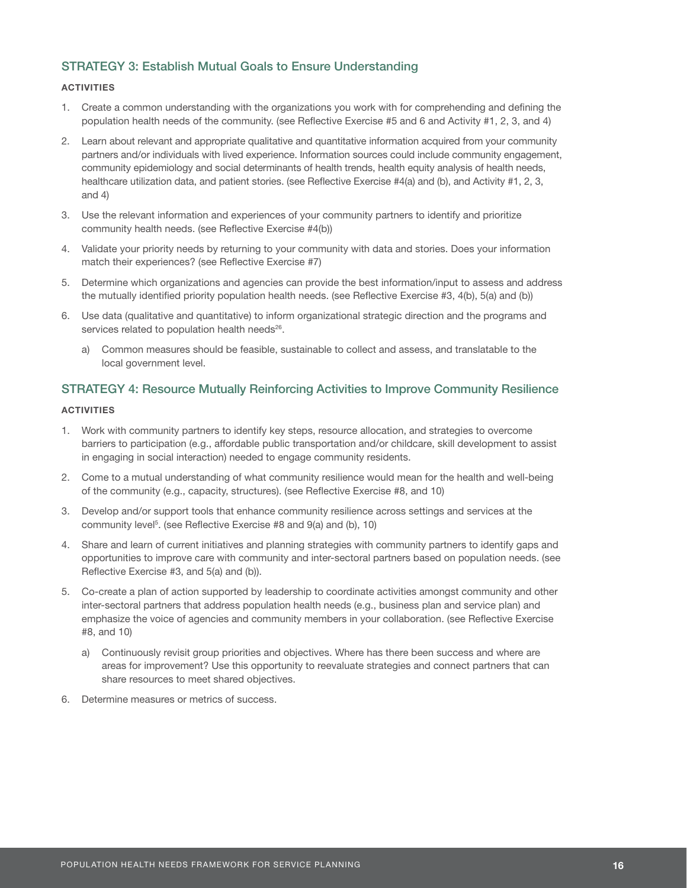## STRATEGY 3: Establish Mutual Goals to Ensure Understanding

#### **ACTIVITIES**

- 1. Create a common understanding with the organizations you work with for comprehending and defining the population health needs of the community. (see Reflective Exercise #5 and 6 and Activity #1, 2, 3, and 4)
- 2. Learn about relevant and appropriate qualitative and quantitative information acquired from your community partners and/or individuals with lived experience. Information sources could include community engagement, community epidemiology and social determinants of health trends, health equity analysis of health needs, healthcare utilization data, and patient stories. (see Reflective Exercise #4(a) and (b), and Activity #1, 2, 3, and 4)
- 3. Use the relevant information and experiences of your community partners to identify and prioritize community health needs. (see Reflective Exercise #4(b))
- 4. Validate your priority needs by returning to your community with data and stories. Does your information match their experiences? (see Reflective Exercise #7)
- 5. Determine which organizations and agencies can provide the best information/input to assess and address the mutually identified priority population health needs. (see Reflective Exercise #3, 4(b), 5(a) and (b))
- 6. Use data (qualitative and quantitative) to inform organizational strategic direction and the programs and services related to population health needs<sup>26</sup>.
	- a) Common measures should be feasible, sustainable to collect and assess, and translatable to the local government level.

## STRATEGY 4: Resource Mutually Reinforcing Activities to Improve Community Resilience

- 1. Work with community partners to identify key steps, resource allocation, and strategies to overcome barriers to participation (e.g., affordable public transportation and/or childcare, skill development to assist in engaging in social interaction) needed to engage community residents.
- 2. Come to a mutual understanding of what community resilience would mean for the health and well-being of the community (e.g., capacity, structures). (see Reflective Exercise #8, and 10)
- 3. Develop and/or support tools that enhance community resilience across settings and services at the community level<sup>5</sup>. (see Reflective Exercise #8 and 9(a) and (b), 10)
- 4. Share and learn of current initiatives and planning strategies with community partners to identify gaps and opportunities to improve care with community and inter-sectoral partners based on population needs. (see Reflective Exercise #3, and 5(a) and (b)).
- 5. Co-create a plan of action supported by leadership to coordinate activities amongst community and other inter-sectoral partners that address population health needs (e.g., business plan and service plan) and emphasize the voice of agencies and community members in your collaboration. (see Reflective Exercise #8, and 10)
	- a) Continuously revisit group priorities and objectives. Where has there been success and where are areas for improvement? Use this opportunity to reevaluate strategies and connect partners that can share resources to meet shared objectives.
- 6. Determine measures or metrics of success.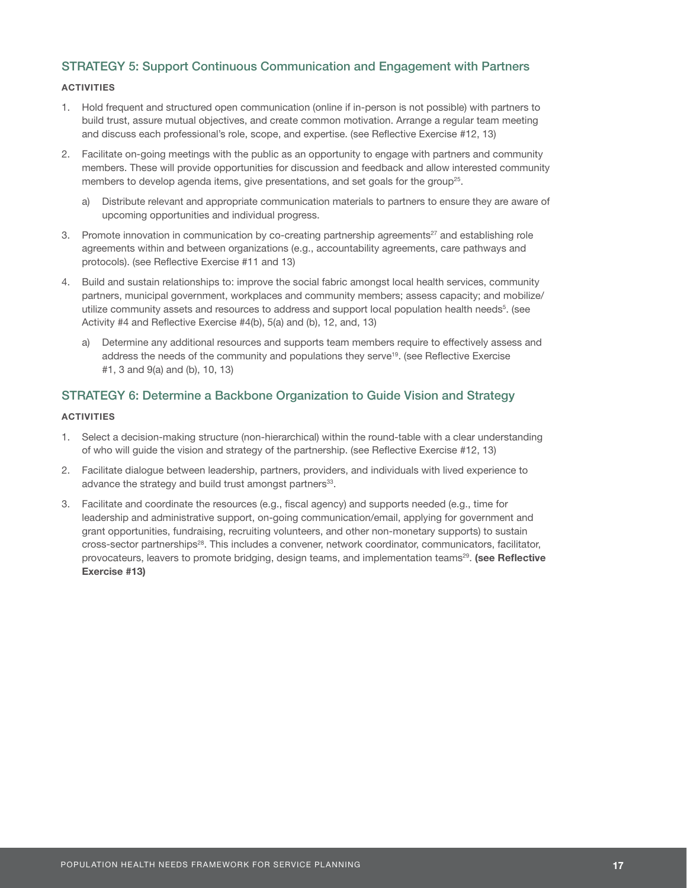### STRATEGY 5: Support Continuous Communication and Engagement with Partners

#### **ACTIVITIES**

- 1. Hold frequent and structured open communication (online if in-person is not possible) with partners to build trust, assure mutual objectives, and create common motivation. Arrange a regular team meeting and discuss each professional's role, scope, and expertise. (see Reflective Exercise #12, 13)
- 2. Facilitate on-going meetings with the public as an opportunity to engage with partners and community members. These will provide opportunities for discussion and feedback and allow interested community members to develop agenda items, give presentations, and set goals for the group<sup>25</sup>.
	- a) Distribute relevant and appropriate communication materials to partners to ensure they are aware of upcoming opportunities and individual progress.
- 3. Promote innovation in communication by co-creating partnership agreements<sup>27</sup> and establishing role agreements within and between organizations (e.g., accountability agreements, care pathways and protocols). (see Reflective Exercise #11 and 13)
- 4. Build and sustain relationships to: improve the social fabric amongst local health services, community partners, municipal government, workplaces and community members; assess capacity; and mobilize/ utilize community assets and resources to address and support local population health needs<sup>5</sup>. (see Activity #4 and Reflective Exercise #4(b), 5(a) and (b), 12, and, 13)
	- a) Determine any additional resources and supports team members require to effectively assess and address the needs of the community and populations they serve19. (see Reflective Exercise #1, 3 and 9(a) and (b), 10, 13)

### STRATEGY 6: Determine a Backbone Organization to Guide Vision and Strategy

- 1. Select a decision-making structure (non-hierarchical) within the round-table with a clear understanding of who will guide the vision and strategy of the partnership. (see Reflective Exercise #12, 13)
- 2. Facilitate dialogue between leadership, partners, providers, and individuals with lived experience to advance the strategy and build trust amongst partners<sup>33</sup>.
- 3. Facilitate and coordinate the resources (e.g., fiscal agency) and supports needed (e.g., time for leadership and administrative support, on-going communication/email, applying for government and grant opportunities, fundraising, recruiting volunteers, and other non-monetary supports) to sustain cross-sector partnerships28. This includes a convener, network coordinator, communicators, facilitator, provocateurs, leavers to promote bridging, design teams, and implementation teams<sup>29</sup>. (see Reflective Exercise #13)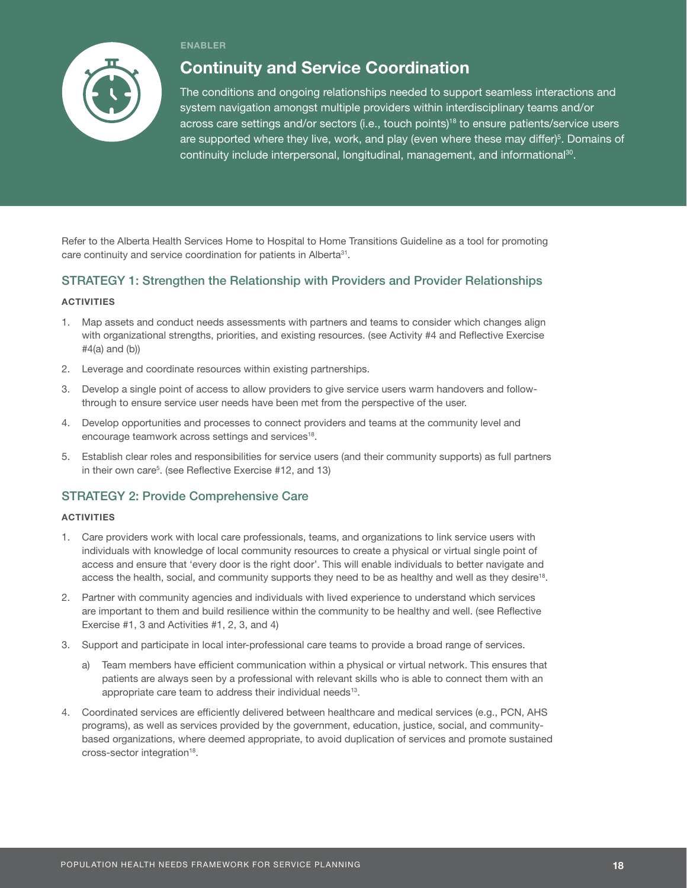

#### ENABLER

## Continuity and Service Coordination

The conditions and ongoing relationships needed to support seamless interactions and system navigation amongst multiple providers within interdisciplinary teams and/or across care settings and/or sectors (i.e., touch points)18 to ensure patients/service users are supported where they live, work, and play (even where these may differ)<sup>5</sup>. Domains of continuity include interpersonal, longitudinal, management, and informational<sup>30</sup>.

Refer to the Alberta Health Services Home to Hospital to Home Transitions Guideline as a tool for promoting care continuity and service coordination for patients in Alberta<sup>31</sup>.

## STRATEGY 1: Strengthen the Relationship with Providers and Provider Relationships

#### **ACTIVITIES**

- 1. Map assets and conduct needs assessments with partners and teams to consider which changes align with organizational strengths, priorities, and existing resources. (see Activity #4 and Reflective Exercise #4(a) and (b))
- 2. Leverage and coordinate resources within existing partnerships.
- 3. Develop a single point of access to allow providers to give service users warm handovers and followthrough to ensure service user needs have been met from the perspective of the user.
- 4. Develop opportunities and processes to connect providers and teams at the community level and encourage teamwork across settings and services<sup>18</sup>.
- 5. Establish clear roles and responsibilities for service users (and their community supports) as full partners in their own care<sup>5</sup>. (see Reflective Exercise #12, and 13)

### STRATEGY 2: Provide Comprehensive Care

- 1. Care providers work with local care professionals, teams, and organizations to link service users with individuals with knowledge of local community resources to create a physical or virtual single point of access and ensure that 'every door is the right door'. This will enable individuals to better navigate and access the health, social, and community supports they need to be as healthy and well as they desire<sup>18</sup>.
- 2. Partner with community agencies and individuals with lived experience to understand which services are important to them and build resilience within the community to be healthy and well. (see Reflective Exercise #1, 3 and Activities #1, 2, 3, and 4)
- 3. Support and participate in local inter-professional care teams to provide a broad range of services.
	- a) Team members have efficient communication within a physical or virtual network. This ensures that patients are always seen by a professional with relevant skills who is able to connect them with an appropriate care team to address their individual needs<sup>13</sup>.
- 4. Coordinated services are efficiently delivered between healthcare and medical services (e.g., PCN, AHS programs), as well as services provided by the government, education, justice, social, and communitybased organizations, where deemed appropriate, to avoid duplication of services and promote sustained cross-sector integration<sup>18</sup>.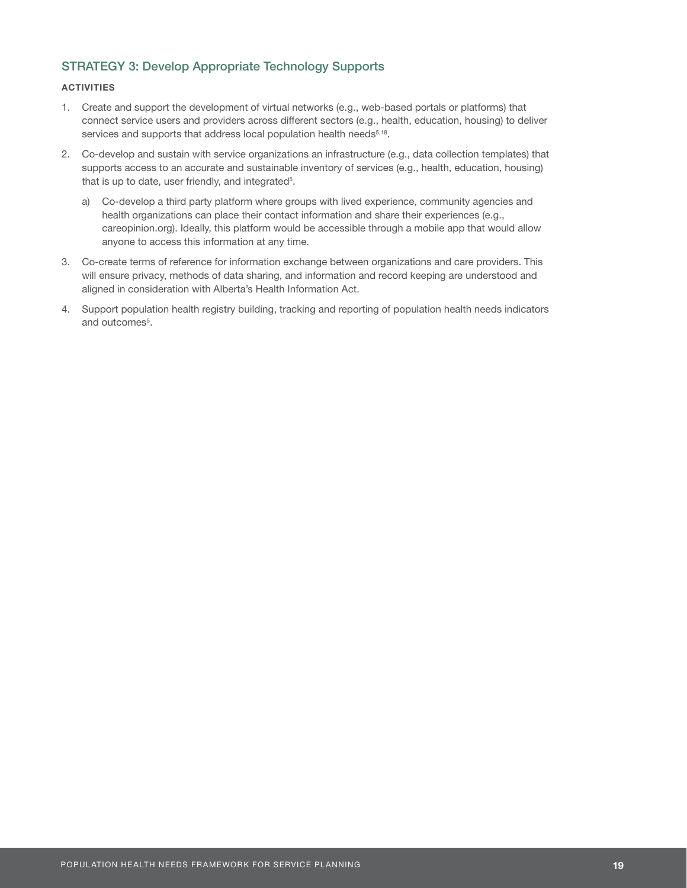## STRATEGY 3: Develop Appropriate Technology Supports

- 1. Create and support the development of virtual networks (e.g., web-based portals or platforms) that connect service users and providers across different sectors (e.g., health, education, housing) to deliver services and supports that address local population health needs<sup>5,18</sup>.
- 2. Co-develop and sustain with service organizations an infrastructure (e.g., data collection templates) that supports access to an accurate and sustainable inventory of services (e.g., health, education, housing) that is up to date, user friendly, and integrated<sup>5</sup>.
	- a) Co-develop a third party platform where groups with lived experience, community agencies and health organizations can place their contact information and share their experiences (e.g., careopinion.org). Ideally, this platform would be accessible through a mobile app that would allow anyone to access this information at any time.
- 3. Co-create terms of reference for information exchange between organizations and care providers. This will ensure privacy, methods of data sharing, and information and record keeping are understood and aligned in consideration with Alberta's Health Information Act.
- 4. Support population health registry building, tracking and reporting of population health needs indicators and outcomes<sup>5</sup>.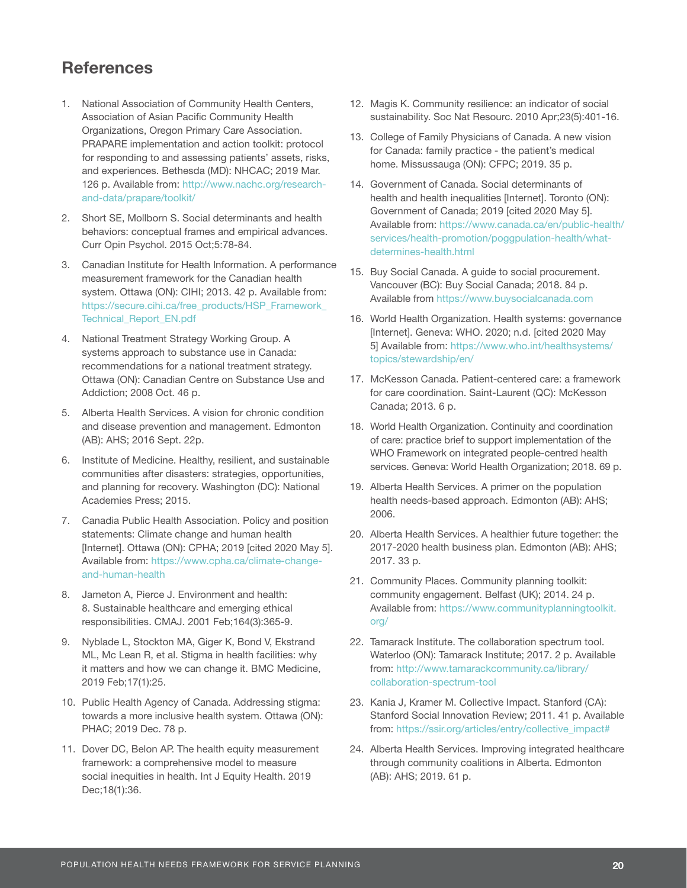## **References**

- 1. National Association of Community Health Centers, Association of Asian Pacific Community Health Organizations, Oregon Primary Care Association. PRAPARE implementation and action toolkit: protocol for responding to and assessing patients' assets, risks, and experiences. Bethesda (MD): NHCAC; 2019 Mar. 126 p. Available from: [http://www.nachc.org/research](http://www.nachc.org/research-and-data/prapare/toolkit/ )[and-data/prapare/toolkit/](http://www.nachc.org/research-and-data/prapare/toolkit/ )
- 2. Short SE, Mollborn S. Social determinants and health behaviors: conceptual frames and empirical advances. Curr Opin Psychol. 2015 Oct;5:78-84.
- 3. Canadian Institute for Health Information. A performance measurement framework for the Canadian health system. Ottawa (ON): CIHI; 2013. 42 p. Available from: [https://secure.cihi.ca/free\\_products/HSP\\_Framework\\_](https://secure.cihi.ca/free_products/HSP_Framework_Technical_Report_EN.pdf) [Technical\\_Report\\_EN.pdf](https://secure.cihi.ca/free_products/HSP_Framework_Technical_Report_EN.pdf)
- 4. National Treatment Strategy Working Group. A systems approach to substance use in Canada: recommendations for a national treatment strategy. Ottawa (ON): Canadian Centre on Substance Use and Addiction; 2008 Oct. 46 p.
- 5. Alberta Health Services. A vision for chronic condition and disease prevention and management. Edmonton (AB): AHS; 2016 Sept. 22p.
- 6. Institute of Medicine. Healthy, resilient, and sustainable communities after disasters: strategies, opportunities, and planning for recovery. Washington (DC): National Academies Press; 2015.
- 7. Canadia Public Health Association. Policy and position statements: Climate change and human health [Internet]. Ottawa (ON): CPHA; 2019 [cited 2020 May 5]. Available from: [https://www.cpha.ca/climate-change](https://www.cpha.ca/climate-change-and-human-health)[and-human-health](https://www.cpha.ca/climate-change-and-human-health)
- 8. Jameton A, Pierce J. Environment and health: 8. Sustainable healthcare and emerging ethical responsibilities. CMAJ. 2001 Feb;164(3):365-9.
- 9. Nyblade L, Stockton MA, Giger K, Bond V, Ekstrand ML, Mc Lean R, et al. Stigma in health facilities: why it matters and how we can change it. BMC Medicine, 2019 Feb;17(1):25.
- 10. Public Health Agency of Canada. Addressing stigma: towards a more inclusive health system. Ottawa (ON): PHAC; 2019 Dec. 78 p.
- 11. Dover DC, Belon AP. The health equity measurement framework: a comprehensive model to measure social inequities in health. Int J Equity Health. 2019 Dec;18(1):36.
- 12. Magis K. Community resilience: an indicator of social sustainability. Soc Nat Resourc. 2010 Apr;23(5):401-16.
- 13. College of Family Physicians of Canada. A new vision for Canada: family practice - the patient's medical home. Missussauga (ON): CFPC; 2019. 35 p.
- 14. Government of Canada. Social determinants of health and health inequalities [Internet]. Toronto (ON): Government of Canada; 2019 [cited 2020 May 5]. Available from: [https://www.canada.ca/en/public-health/](https://www.canada.ca/en/public-health/services/health-promotion/poggpulation-health/what-determines) [services/health-promotion/poggpulation-health/what](https://www.canada.ca/en/public-health/services/health-promotion/poggpulation-health/what-determines)[determines-health.html](https://www.canada.ca/en/public-health/services/health-promotion/poggpulation-health/what-determines)
- 15. Buy Social Canada. A guide to social procurement. Vancouver (BC): Buy Social Canada; 2018. 84 p. Available from<https://www.buysocialcanada.com>
- 16. World Health Organization. Health systems: governance [Internet]. Geneva: WHO. 2020; n.d. [cited 2020 May 5] Available from: [https://www.who.int/healthsystems/](https://www.who.int/healthsystems/topics/stewardship/en/) [topics/stewardship/en/](https://www.who.int/healthsystems/topics/stewardship/en/)
- 17. McKesson Canada. Patient-centered care: a framework for care coordination. Saint-Laurent (QC): McKesson Canada; 2013. 6 p.
- 18. World Health Organization. Continuity and coordination of care: practice brief to support implementation of the WHO Framework on integrated people-centred health services. Geneva: World Health Organization; 2018. 69 p.
- 19. Alberta Health Services. A primer on the population health needs-based approach. Edmonton (AB): AHS; 2006.
- 20. Alberta Health Services. A healthier future together: the 2017-2020 health business plan. Edmonton (AB): AHS; 2017. 33 p.
- 21. Community Places. Community planning toolkit: community engagement. Belfast (UK); 2014. 24 p. Available from: [https://www.communityplanningtoolkit.](https://www.communityplanningtoolkit.org/) [org/](https://www.communityplanningtoolkit.org/)
- 22. Tamarack Institute. The collaboration spectrum tool. Waterloo (ON): Tamarack Institute; 2017. 2 p. Available from: [http://www.tamarackcommunity.ca/library/](http://www.tamarackcommunity.ca/library/collaboration-spectrum-tool) [collaboration-spectrum-tool](http://www.tamarackcommunity.ca/library/collaboration-spectrum-tool)
- 23. Kania J, Kramer M. Collective Impact. Stanford (CA): Stanford Social Innovation Review; 2011. 41 p. Available from: https://ssir.org/articles/entry/collective\_impact#
- 24. Alberta Health Services. Improving integrated healthcare through community coalitions in Alberta. Edmonton (AB): AHS; 2019. 61 p.